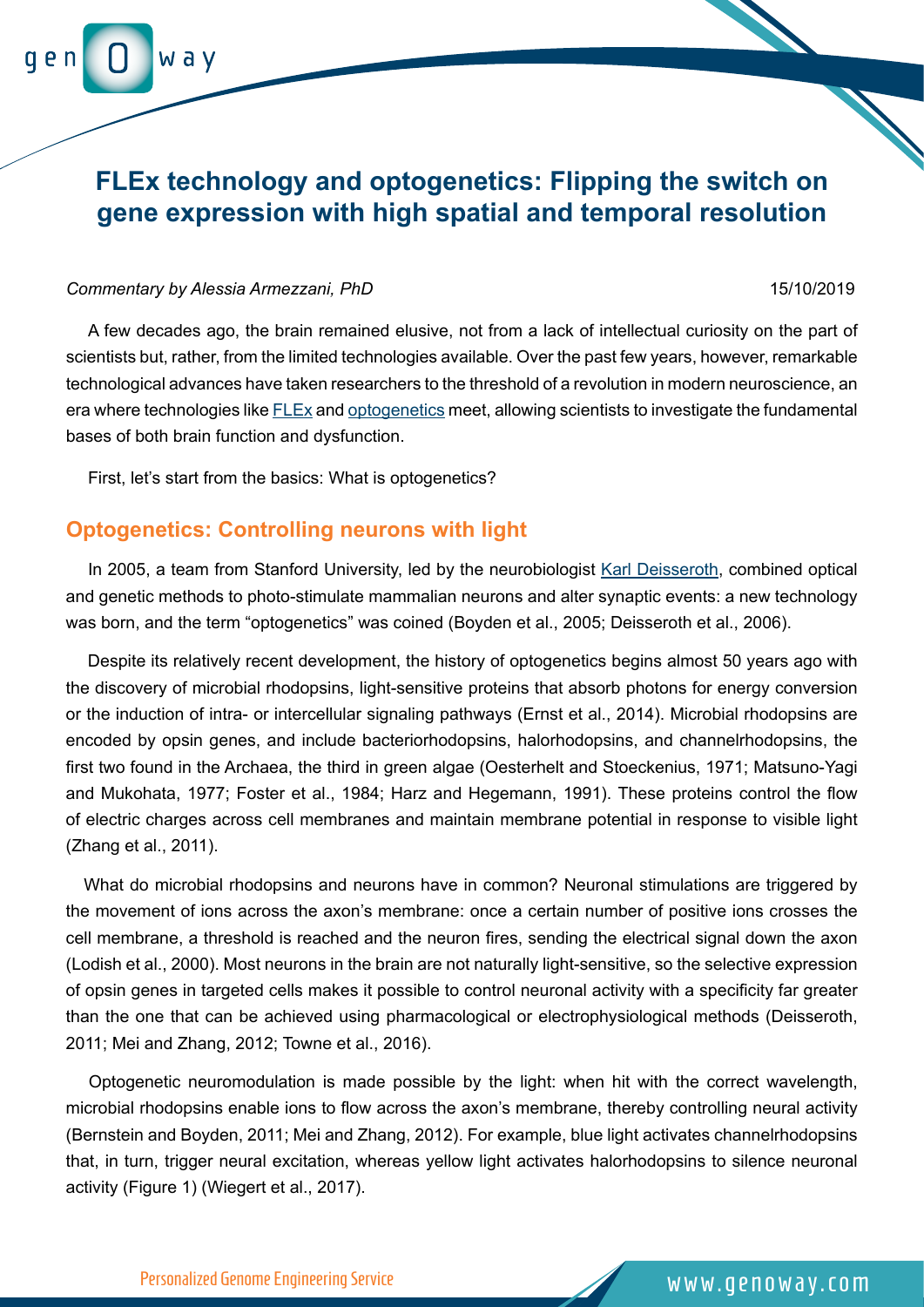# **FLEx technology and optogenetics: Flipping the switch on gene expression with high spatial and temporal resolution**

#### *Commentary by Alessia Armezzani, PhD* 15/10/2019

w a v

A few decades ago, the brain remained elusive, not from a lack of intellectual curiosity on the part of scientists but, rather, from the limited technologies available. Over the past few years, however, remarkable technological advances have taken researchers to the threshold of a revolution in modern neuroscience, an era where technologies like [FLEx](https://blog.addgene.org/plasmids-101-flex-vectors) and [optogenetics](https://www.addgene.org/optogenetics/guide/) meet, allowing scientists to investigate the fundamental bases of both brain function and dysfunction.

First, let's start from the basics: What is optogenetics?

## **Optogenetics: Controlling neurons with light**

In 2005, a team from Stanford University, led by the neurobiologist [Karl Deisseroth](https://www.addgene.org/Karl_Deisseroth/), combined optical and genetic methods to photo-stimulate mammalian neurons and alter synaptic events: a new technology was born, and the term "optogenetics" was coined (Boyden et al., 2005; Deisseroth et al., 2006).

Despite its relatively recent development, the history of optogenetics begins almost 50 years ago with the discovery of microbial rhodopsins, light-sensitive proteins that absorb photons for energy conversion or the induction of intra- or intercellular signaling pathways (Ernst et al., 2014). Microbial rhodopsins are encoded by opsin genes, and include bacteriorhodopsins, halorhodopsins, and channelrhodopsins, the first two found in the Archaea, the third in green algae (Oesterhelt and Stoeckenius, 1971; Matsuno-Yagi and Mukohata, 1977; Foster et al., 1984; Harz and Hegemann, 1991). These proteins control the flow of electric charges across cell membranes and maintain membrane potential in response to visible light (Zhang et al., 2011).

 What do microbial rhodopsins and neurons have in common? Neuronal stimulations are triggered by the movement of ions across the axon's membrane: once a certain number of positive ions crosses the cell membrane, a threshold is reached and the neuron fires, sending the electrical signal down the axon (Lodish et al., 2000). Most neurons in the brain are not naturally light-sensitive, so the selective expression of opsin genes in targeted cells makes it possible to control neuronal activity with a specificity far greater than the one that can be achieved using pharmacological or electrophysiological methods (Deisseroth, 2011; Mei and Zhang, 2012; Towne et al., 2016).

 Optogenetic neuromodulation is made possible by the light: when hit with the correct wavelength, microbial rhodopsins enable ions to flow across the axon's membrane, thereby controlling neural activity (Bernstein and Boyden, 2011; Mei and Zhang, 2012). For example, blue light activates channelrhodopsins that, in turn, trigger neural excitation, whereas yellow light activates halorhodopsins to silence neuronal activity (Figure 1) (Wiegert et al., 2017).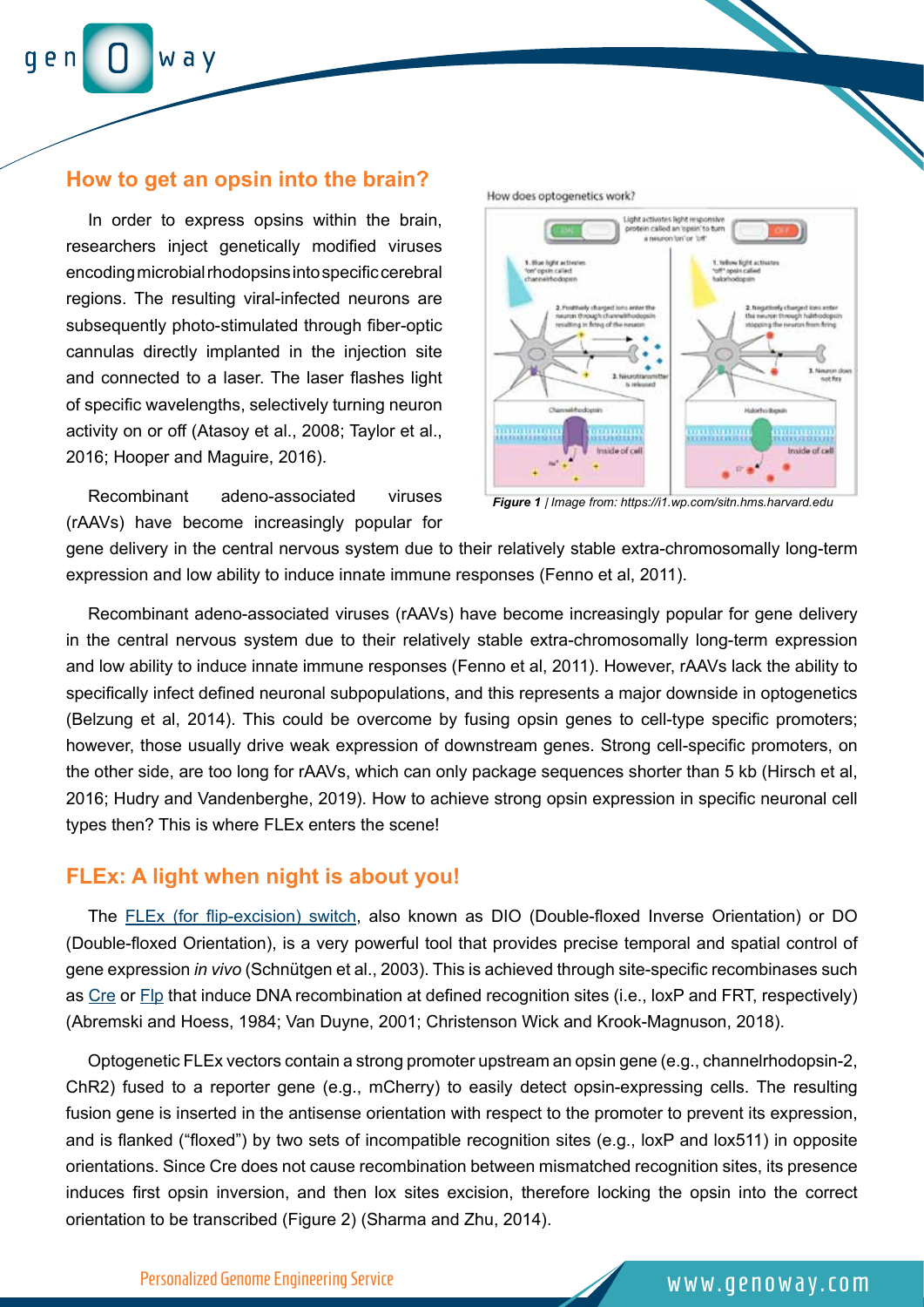### **How to get an opsin into the brain?**

In order to express opsins within the brain, researchers inject genetically modified viruses encoding microbial rhodopsins into specific cerebral regions. The resulting viral-infected neurons are subsequently photo-stimulated through fiber-optic cannulas directly implanted in the injection site and connected to a laser. The laser flashes light of specific wavelengths, selectively turning neuron activity on or off (Atasoy et al., 2008; Taylor et al., 2016; Hooper and Maguire, 2016).

Recombinant adeno-associated viruses (rAAVs) have become increasingly popular for



*Figure 1 | Image from: https://i1.wp.com/sitn.hms.harvard.edu*

gene delivery in the central nervous system due to their relatively stable extra-chromosomally long-term expression and low ability to induce innate immune responses (Fenno et al, 2011).

Recombinant adeno-associated viruses (rAAVs) have become increasingly popular for gene delivery in the central nervous system due to their relatively stable extra-chromosomally long-term expression and low ability to induce innate immune responses (Fenno et al, 2011). However, rAAVs lack the ability to specifically infect defined neuronal subpopulations, and this represents a major downside in optogenetics (Belzung et al, 2014). This could be overcome by fusing opsin genes to cell-type specific promoters; however, those usually drive weak expression of downstream genes. Strong cell-specific promoters, on the other side, are too long for rAAVs, which can only package sequences shorter than 5 kb (Hirsch et al, 2016; Hudry and Vandenberghe, 2019). How to achieve strong opsin expression in specific neuronal cell types then? This is where FLEx enters the scene!

## **FLEx: A light when night is about you!**

The [FLEx \(for flip-excision\) switch,](https://www.genoway.com/technologies/ssr/flex-inducible-point-mutation.htm) also known as DIO (Double-floxed Inverse Orientation) or DO (Double-floxed Orientation), is a very powerful tool that provides precise temporal and spatial control of gene expression *in vivo* (Schnütgen et al., 2003). This is achieved through site-specific recombinases such as [Cre](https://blog.addgene.org/plasmids-101-cre-lox) or [Flp](https://blog.addgene.org/advanced-uses-of-cre-lox-and-flp-frt-a-neuroscientists-view) that induce DNA recombination at defined recognition sites (i.e., loxP and FRT, respectively) (Abremski and Hoess, 1984; Van Duyne, 2001; Christenson Wick and Krook-Magnuson, 2018).

Optogenetic FLEx vectors contain a strong promoter upstream an opsin gene (e.g., channelrhodopsin-2, ChR2) fused to a reporter gene (e.g., mCherry) to easily detect opsin-expressing cells. The resulting fusion gene is inserted in the antisense orientation with respect to the promoter to prevent its expression, and is flanked ("floxed") by two sets of incompatible recognition sites (e.g., loxP and lox511) in opposite orientations. Since Cre does not cause recombination between mismatched recognition sites, its presence induces first opsin inversion, and then lox sites excision, therefore locking the opsin into the correct orientation to be transcribed (Figure 2) (Sharma and Zhu, 2014).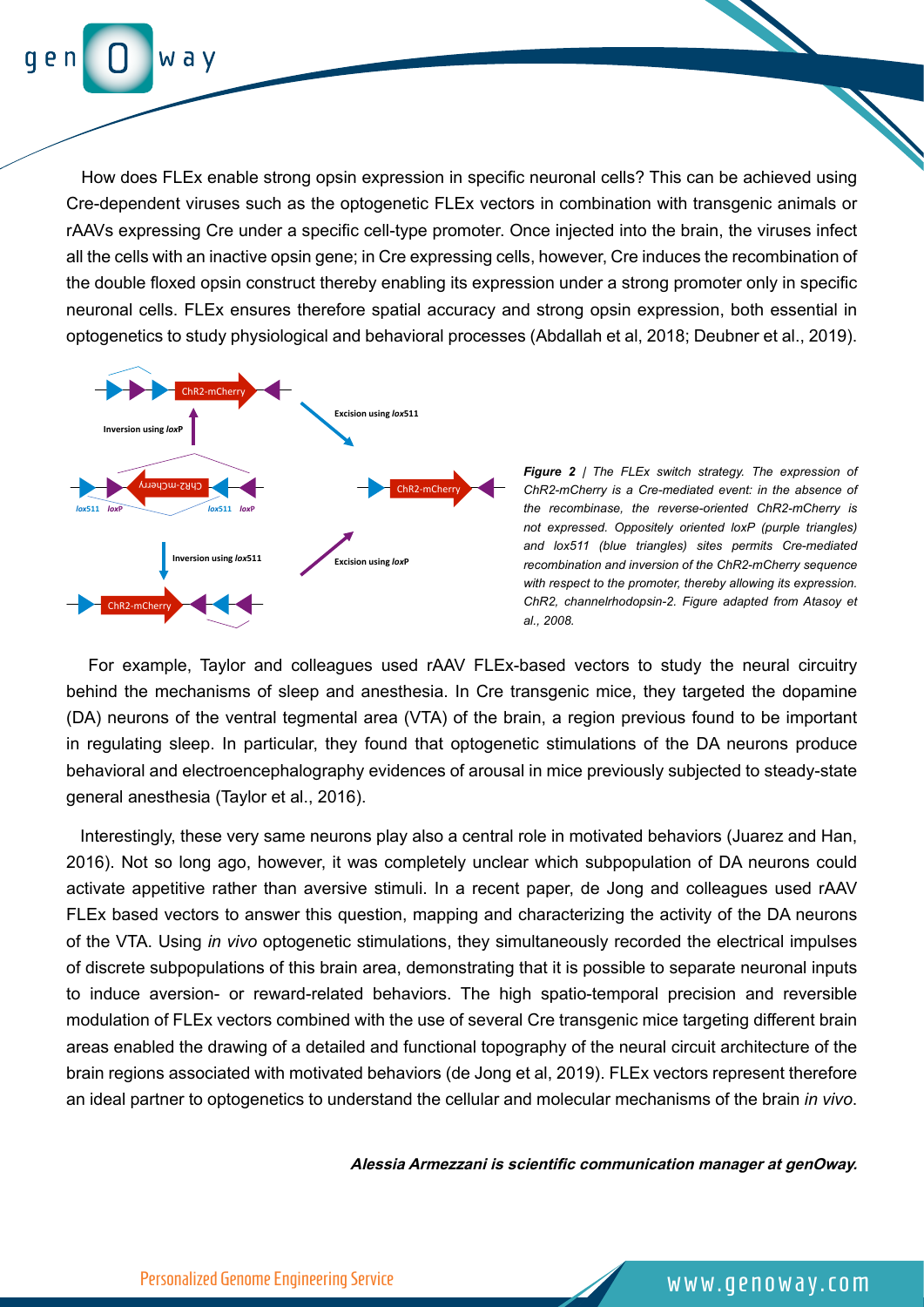w a v

 How does FLEx enable strong opsin expression in specific neuronal cells? This can be achieved using Cre-dependent viruses such as the optogenetic FLEx vectors in combination with transgenic animals or rAAVs expressing Cre under a specific cell-type promoter. Once injected into the brain, the viruses infect all the cells with an inactive opsin gene; in Cre expressing cells, however, Cre induces the recombination of the double floxed opsin construct thereby enabling its expression under a strong promoter only in specific neuronal cells. FLEx ensures therefore spatial accuracy and strong opsin expression, both essential in optogenetics to study physiological and behavioral processes (Abdallah et al, 2018; Deubner et al., 2019).



*Figure 2* | *The FLEx switch strategy. The expression of ChR2-mCherry is a Cre-mediated event: in the absence of the recombinase, the reverse-oriented ChR2-mCherry is not expressed. Oppositely oriented loxP (purple triangles) and lox511 (blue triangles) sites permits Cre-mediated recombination and inversion of the ChR2-mCherry sequence with respect to the promoter, thereby allowing its expression. ChR2, channelrhodopsin-2. Figure adapted from Atasoy et al., 2008.*

For example, Taylor and colleagues used rAAV FLEx-based vectors to study the neural circuitry behind the mechanisms of sleep and anesthesia. In Cre transgenic mice, they targeted the dopamine (DA) neurons of the ventral tegmental area (VTA) of the brain, a region previous found to be important in regulating sleep. In particular, they found that optogenetic stimulations of the DA neurons produce behavioral and electroencephalography evidences of arousal in mice previously subjected to steady-state general anesthesia (Taylor et al., 2016).

 Interestingly, these very same neurons play also a central role in motivated behaviors (Juarez and Han, 2016). Not so long ago, however, it was completely unclear which subpopulation of DA neurons could activate appetitive rather than aversive stimuli. In a recent paper, de Jong and colleagues used rAAV FLEx based vectors to answer this question, mapping and characterizing the activity of the DA neurons of the VTA. Using *in vivo* optogenetic stimulations, they simultaneously recorded the electrical impulses of discrete subpopulations of this brain area, demonstrating that it is possible to separate neuronal inputs to induce aversion- or reward-related behaviors. The high spatio-temporal precision and reversible modulation of FLEx vectors combined with the use of several Cre transgenic mice targeting different brain areas enabled the drawing of a detailed and functional topography of the neural circuit architecture of the brain regions associated with motivated behaviors (de Jong et al, 2019). FLEx vectors represent therefore an ideal partner to optogenetics to understand the cellular and molecular mechanisms of the brain *in vivo*.

**Alessia Armezzani is scientific communication manager at genOway.**